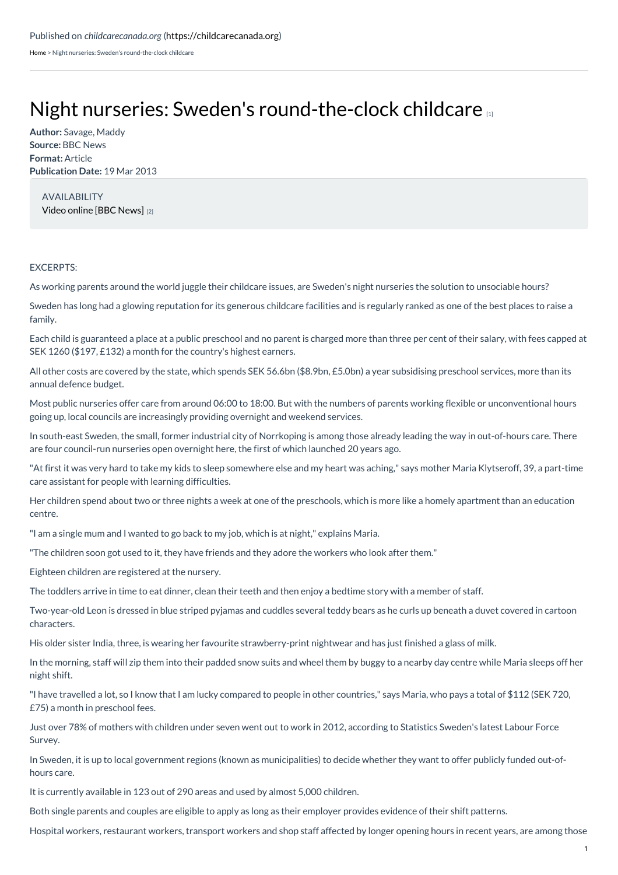[Home](https://childcarecanada.org/) > Night nurseries: Sweden's round-the-clock childcare

## Night nurseries: Sweden's [round-the-clock](https://childcarecanada.org/documents/child-care-news/13/05/night-nurseries-swedens-round-clock-childcare) childcare

**Author:** Savage, Maddy **Source:** BBC News **Format:** Article **Publication Date:** 19 Mar 2013

AVAILABILITY Video online [BBC [News\]](https://www.bbc.co.uk/news/magazine-21784716) [2]

## EXCERPTS:

As working parents around the world juggle their childcare issues, are Sweden's night nurseries the solution to unsociable hours?

Sweden has long had a glowing reputation for its generous childcare facilities and is regularly ranked as one of the best places to raise a family.

Each child is guaranteed a place at a public preschool and no parent is charged more than three per cent of their salary, with fees capped at SEK 1260 (\$197, £132) a month for the country's highest earners.

All other costs are covered by the state, which spends SEK 56.6bn (\$8.9bn, £5.0bn) a year subsidising preschool services, more than its annual defence budget.

Most public nurseries offer care from around 06:00 to 18:00. But with the numbers of parents working flexible or unconventional hours going up, local councils are increasingly providing overnight and weekend services.

In south-east Sweden, the small, former industrial city of Norrkoping is among those already leading the way in out-of-hours care. There are four council-run nurseries open overnight here, the first of which launched 20 years ago.

"At first it was very hard to take my kids to sleep somewhere else and my heart was aching," says mother Maria Klytseroff, 39, a part-time care assistant for people with learning difficulties.

Her children spend about two or three nights a week at one of the preschools, which is more like a homely apartment than an education centre.

"I am a single mum and I wanted to go back to my job, which is at night," explains Maria.

"The children soon got used to it, they have friends and they adore the workers who look after them."

Eighteen children are registered at the nursery.

The toddlers arrive in time to eat dinner, clean their teeth and then enjoy a bedtime story with a member of staff.

Two-year-old Leon is dressed in blue striped pyjamas and cuddles several teddy bears as he curls up beneath a duvet covered in cartoon characters.

His older sister India, three, is wearing her favourite strawberry-print nightwear and has just finished a glass of milk.

In the morning, staff will zip them into their padded snow suits and wheel them by buggy to a nearby day centre while Maria sleeps off her night shift.

"I have travelled a lot, so I know that I am lucky compared to people in other countries," says Maria, who pays a total of \$112 (SEK 720, £75) a month in preschool fees.

Just over 78% of mothers with children under seven went out to work in 2012, according to Statistics Sweden's latest Labour Force Survey.

In Sweden, it is up to local government regions (known as municipalities) to decide whether they want to offer publicly funded out-ofhours care.

It is currently available in 123 out of 290 areas and used by almost 5,000 children.

Both single parents and couples are eligible to apply as long as their employer provides evidence of their shift patterns.

Hospital workers, restaurant workers, transport workers and shop staff affected by longer opening hours in recent years, are among those